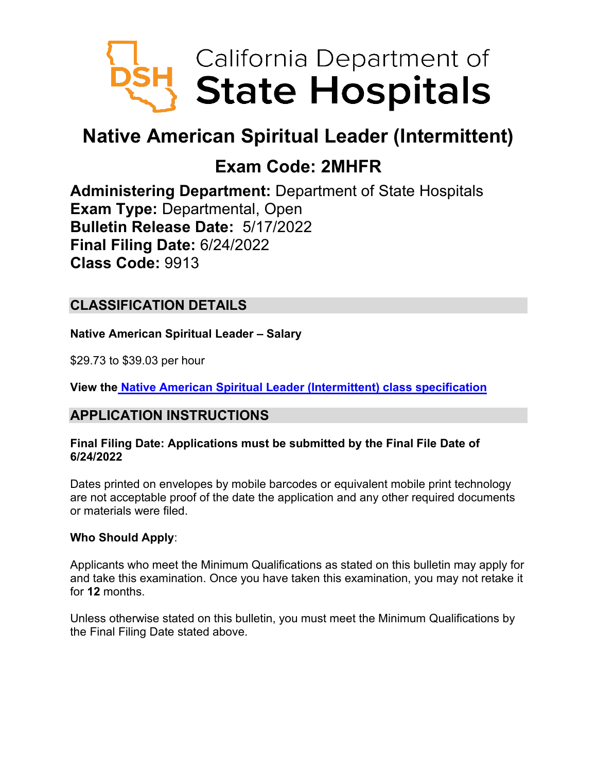

# **Native American Spiritual Leader (Intermittent)**

# **Exam Code: 2MHFR**

**Administering Department:** Department of State Hospitals **Exam Type:** Departmental, Open **Bulletin Release Date:** 5/17/2022 **Final Filing Date:** 6/24/2022 **Class Code:** 9913

# **CLASSIFICATION DETAILS**

**Native American Spiritual Leader – Salary**

\$29.73 to \$39.03 per hour

**View the [Native American Spiritual Leader](https://hrnet.calhr.ca.gov/CalHRNet/SpecCrossReference.aspx?ClassID=9913) (Intermittent) class specification**

## **APPLICATION INSTRUCTIONS**

#### **Final Filing Date: Applications must be submitted by the Final File Date of 6/24/2022**

Dates printed on envelopes by mobile barcodes or equivalent mobile print technology are not acceptable proof of the date the application and any other required documents or materials were filed.

#### **Who Should Apply**:

Applicants who meet the Minimum Qualifications as stated on this bulletin may apply for and take this examination. Once you have taken this examination, you may not retake it for **12** months.

Unless otherwise stated on this bulletin, you must meet the Minimum Qualifications by the Final Filing Date stated above.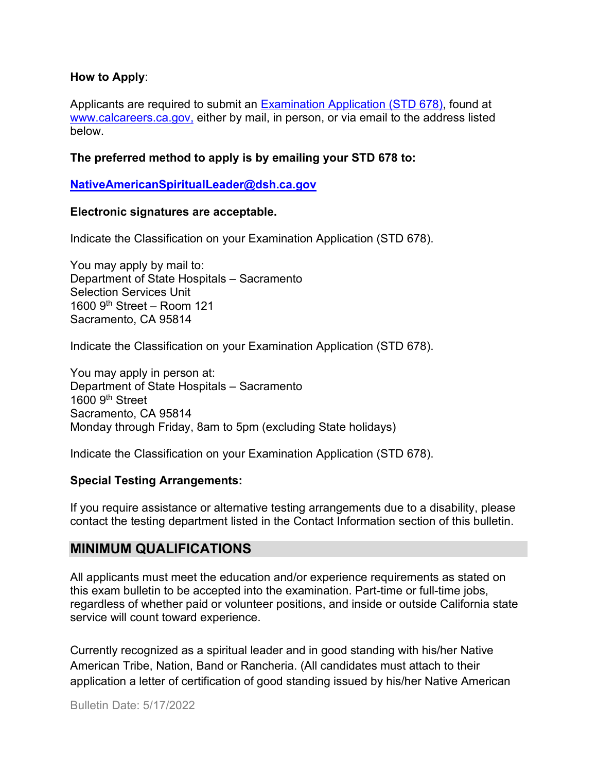#### **How to Apply**:

Applicants are required to submit an [Examination Application \(STD 678\),](https://jobs.ca.gov/pdf/std678.pdf) found at [www.calcareers.ca.gov,](http://www.calcareers.ca.gov/) either by mail, in person, or via email to the address listed below.

#### **The preferred method to apply is by emailing your STD 678 to:**

#### **[NativeAmericanSpiritualLeader@dsh.ca.gov](mailto:NativeAmericanSpiritualLeader@dsh.ca.gov)**

#### **Electronic signatures are acceptable.**

Indicate the Classification on your Examination Application (STD 678).

You may apply by mail to: Department of State Hospitals – Sacramento Selection Services Unit 1600  $9<sup>th</sup>$  Street – Room 121 Sacramento, CA 95814

Indicate the Classification on your Examination Application (STD 678).

You may apply in person at: Department of State Hospitals – Sacramento 1600 9th Street Sacramento, CA 95814 Monday through Friday, 8am to 5pm (excluding State holidays)

Indicate the Classification on your Examination Application (STD 678).

#### **Special Testing Arrangements:**

If you require assistance or alternative testing arrangements due to a disability, please contact the testing department listed in the Contact Information section of this bulletin.

#### **MINIMUM QUALIFICATIONS**

All applicants must meet the education and/or experience requirements as stated on this exam bulletin to be accepted into the examination. Part-time or full-time jobs, regardless of whether paid or volunteer positions, and inside or outside California state service will count toward experience.

Currently recognized as a spiritual leader and in good standing with his/her Native American Tribe, Nation, Band or Rancheria. (All candidates must attach to their application a letter of certification of good standing issued by his/her Native American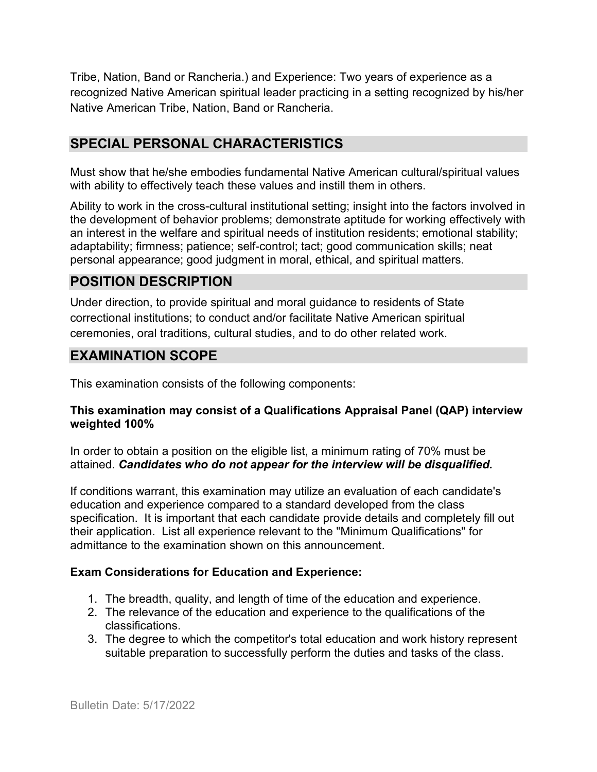Tribe, Nation, Band or Rancheria.) and Experience: Two years of experience as a recognized Native American spiritual leader practicing in a setting recognized by his/her Native American Tribe, Nation, Band or Rancheria.

## **SPECIAL PERSONAL CHARACTERISTICS**

Must show that he/she embodies fundamental Native American cultural/spiritual values with ability to effectively teach these values and instill them in others.

Ability to work in the cross-cultural institutional setting; insight into the factors involved in the development of behavior problems; demonstrate aptitude for working effectively with an interest in the welfare and spiritual needs of institution residents; emotional stability; adaptability; firmness; patience; self-control; tact; good communication skills; neat personal appearance; good judgment in moral, ethical, and spiritual matters.

# **POSITION DESCRIPTION**

Under direction, to provide spiritual and moral guidance to residents of State correctional institutions; to conduct and/or facilitate Native American spiritual ceremonies, oral traditions, cultural studies, and to do other related work.

## **EXAMINATION SCOPE**

This examination consists of the following components:

#### **This examination may consist of a Qualifications Appraisal Panel (QAP) interview weighted 100%**

In order to obtain a position on the eligible list, a minimum rating of 70% must be attained. *Candidates who do not appear for the interview will be disqualified.*

If conditions warrant, this examination may utilize an evaluation of each candidate's education and experience compared to a standard developed from the class specification. It is important that each candidate provide details and completely fill out their application. List all experience relevant to the "Minimum Qualifications" for admittance to the examination shown on this announcement.

#### **Exam Considerations for Education and Experience:**

- 1. The breadth, quality, and length of time of the education and experience.
- 2. The relevance of the education and experience to the qualifications of the classifications.
- 3. The degree to which the competitor's total education and work history represent suitable preparation to successfully perform the duties and tasks of the class.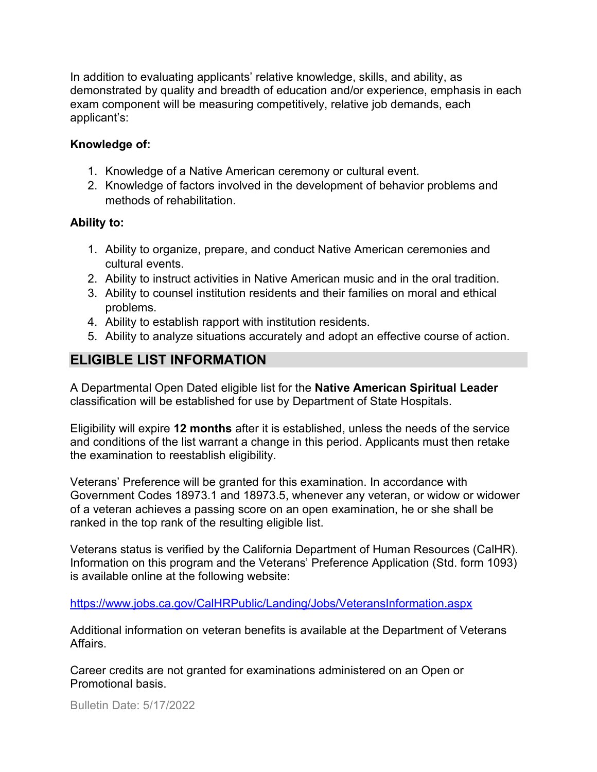In addition to evaluating applicants' relative knowledge, skills, and ability, as demonstrated by quality and breadth of education and/or experience, emphasis in each exam component will be measuring competitively, relative job demands, each applicant's:

#### **Knowledge of:**

- 1. Knowledge of a Native American ceremony or cultural event.
- 2. Knowledge of factors involved in the development of behavior problems and methods of rehabilitation.

#### **Ability to:**

- 1. Ability to organize, prepare, and conduct Native American ceremonies and cultural events.
- 2. Ability to instruct activities in Native American music and in the oral tradition.
- 3. Ability to counsel institution residents and their families on moral and ethical problems.
- 4. Ability to establish rapport with institution residents.
- 5. Ability to analyze situations accurately and adopt an effective course of action.

## **ELIGIBLE LIST INFORMATION**

A Departmental Open Dated eligible list for the **Native American Spiritual Leader** classification will be established for use by Department of State Hospitals.

Eligibility will expire **12 months** after it is established, unless the needs of the service and conditions of the list warrant a change in this period. Applicants must then retake the examination to reestablish eligibility.

Veterans' Preference will be granted for this examination. In accordance with Government Codes 18973.1 and 18973.5, whenever any veteran, or widow or widower of a veteran achieves a passing score on an open examination, he or she shall be ranked in the top rank of the resulting eligible list.

Veterans status is verified by the California Department of Human Resources (CalHR). Information on this program and the Veterans' Preference Application (Std. form 1093) is available online at the following website:

<https://www.jobs.ca.gov/CalHRPublic/Landing/Jobs/VeteransInformation.aspx>

Additional information on veteran benefits is available at the Department of Veterans Affairs.

Career credits are not granted for examinations administered on an Open or Promotional basis.

Bulletin Date: 5/17/2022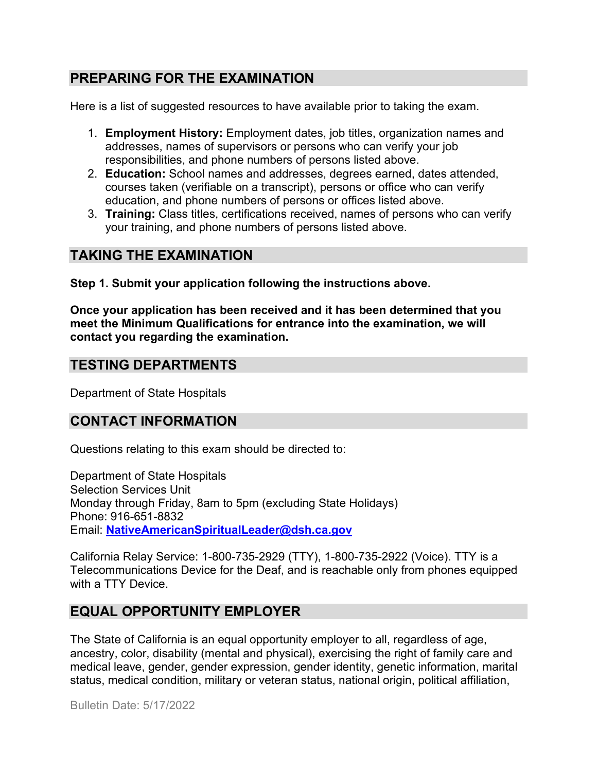## **PREPARING FOR THE EXAMINATION**

Here is a list of suggested resources to have available prior to taking the exam.

- 1. **Employment History:** Employment dates, job titles, organization names and addresses, names of supervisors or persons who can verify your job responsibilities, and phone numbers of persons listed above.
- 2. **Education:** School names and addresses, degrees earned, dates attended, courses taken (verifiable on a transcript), persons or office who can verify education, and phone numbers of persons or offices listed above.
- 3. **Training:** Class titles, certifications received, names of persons who can verify your training, and phone numbers of persons listed above.

## **TAKING THE EXAMINATION**

**Step 1. Submit your application following the instructions above.**

**Once your application has been received and it has been determined that you meet the Minimum Qualifications for entrance into the examination, we will contact you regarding the examination.**

## **TESTING DEPARTMENTS**

Department of State Hospitals

## **CONTACT INFORMATION**

Questions relating to this exam should be directed to:

Department of State Hospitals Selection Services Unit Monday through Friday, 8am to 5pm (excluding State Holidays) Phone: 916-651-8832 Email: **[NativeAmericanSpiritualLeader@dsh.ca.gov](mailto:NativeAmericanSpiritualLeader@dsh.ca.gov)** 

California Relay Service: 1-800-735-2929 (TTY), 1-800-735-2922 (Voice). TTY is a Telecommunications Device for the Deaf, and is reachable only from phones equipped with a TTY Device.

## **EQUAL OPPORTUNITY EMPLOYER**

The State of California is an equal opportunity employer to all, regardless of age, ancestry, color, disability (mental and physical), exercising the right of family care and medical leave, gender, gender expression, gender identity, genetic information, marital status, medical condition, military or veteran status, national origin, political affiliation,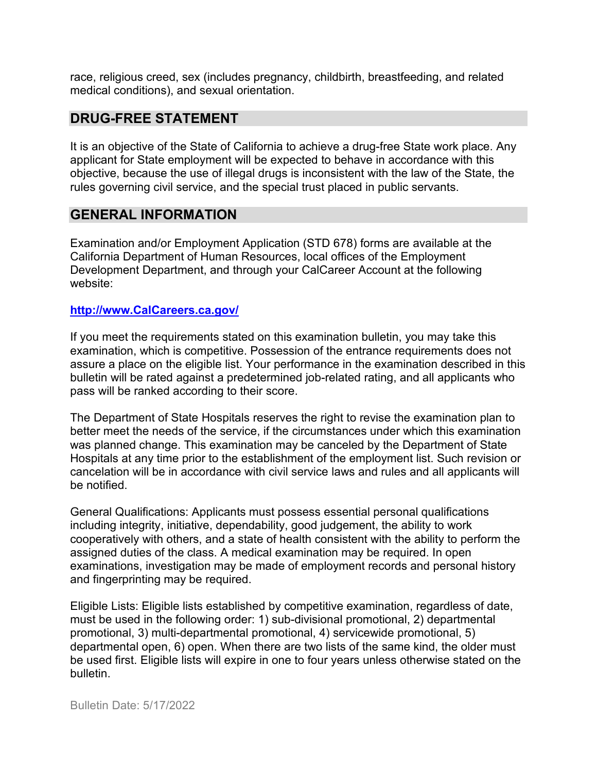race, religious creed, sex (includes pregnancy, childbirth, breastfeeding, and related medical conditions), and sexual orientation.

### **DRUG-FREE STATEMENT**

It is an objective of the State of California to achieve a drug-free State work place. Any applicant for State employment will be expected to behave in accordance with this objective, because the use of illegal drugs is inconsistent with the law of the State, the rules governing civil service, and the special trust placed in public servants.

#### **GENERAL INFORMATION**

Examination and/or Employment Application (STD 678) forms are available at the California Department of Human Resources, local offices of the Employment Development Department, and through your CalCareer Account at the following website:

#### **[http://www.CalCareers.ca.gov/](http://www.calcareers.ca.gov/)**

If you meet the requirements stated on this examination bulletin, you may take this examination, which is competitive. Possession of the entrance requirements does not assure a place on the eligible list. Your performance in the examination described in this bulletin will be rated against a predetermined job-related rating, and all applicants who pass will be ranked according to their score.

The Department of State Hospitals reserves the right to revise the examination plan to better meet the needs of the service, if the circumstances under which this examination was planned change. This examination may be canceled by the Department of State Hospitals at any time prior to the establishment of the employment list. Such revision or cancelation will be in accordance with civil service laws and rules and all applicants will be notified.

General Qualifications: Applicants must possess essential personal qualifications including integrity, initiative, dependability, good judgement, the ability to work cooperatively with others, and a state of health consistent with the ability to perform the assigned duties of the class. A medical examination may be required. In open examinations, investigation may be made of employment records and personal history and fingerprinting may be required.

Eligible Lists: Eligible lists established by competitive examination, regardless of date, must be used in the following order: 1) sub-divisional promotional, 2) departmental promotional, 3) multi-departmental promotional, 4) servicewide promotional, 5) departmental open, 6) open. When there are two lists of the same kind, the older must be used first. Eligible lists will expire in one to four years unless otherwise stated on the bulletin.